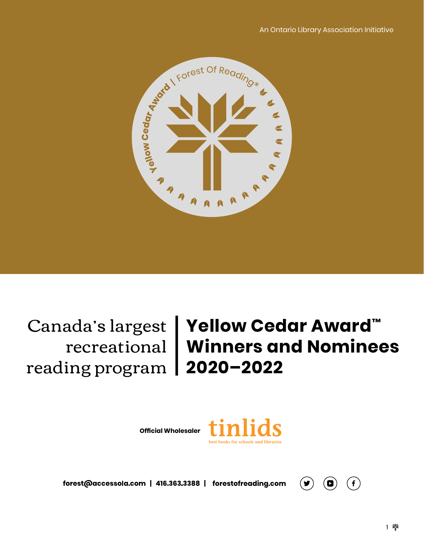

reading program **2020–2022**

# Canada's largest **Yellow Cedar Award™** recreational **Winners and Nominees**

**Official Wholesaler**



forest@accessola.com | 416.363.3388 | forestofreading.com

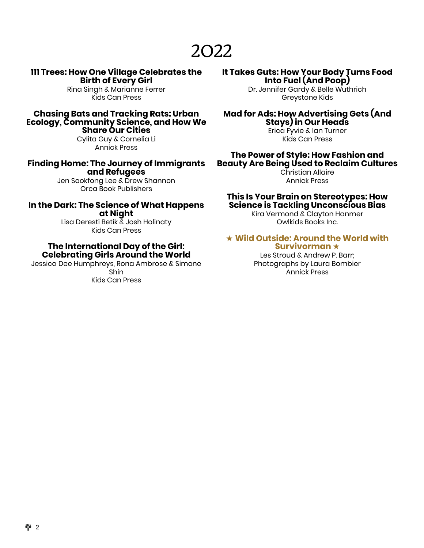### 2022

#### **111 Trees: How One Village Celebrates the Birth of Every Girl**

Rina Singh & Marianne Ferrer Kids Can Press

#### **Chasing Bats and Tracking Rats: Urban Ecology, Community Science, and How We Share Our Cities**

Cylita Guy & Cornelia Li Annick Press

#### **Finding Home: The Journey of Immigrants and Refugees**

Jen Sookfong Lee & Drew Shannon Orca Book Publishers

### **In the Dark: The Science of What Happens at Night**

Lisa Deresti Betik & Josh Holinaty Kids Can Press

#### **The International Day of the Girl: Celebrating Girls Around the World**

Jessica Dee Humphreys, Rona Ambrose & Simone Shin Kids Can Press

### **It Takes Guts: How Your Body Turns Food Into Fuel (And Poop)**

Dr. Jennifer Gardy & Belle Wuthrich Greystone Kids

### **Mad for Ads: How Advertising Gets (And Stays) in Our Heads**

Erica Fyvie & Ian Turner Kids Can Press

#### **The Power of Style: How Fashion and Beauty Are Being Used to Reclaim Cultures**

Christian Allaire Annick Press

#### **This Is Your Brain on Stereotypes: How Science is Tackling Unconscious Bias**

Kira Vermond & Clayton Hanmer Owlkids Books Inc.

#### ★ **Wild Outside: Around the World with Survivorman** ★

Les Stroud & Andrew P. Barr; Photographs by Laura Bombier Annick Press